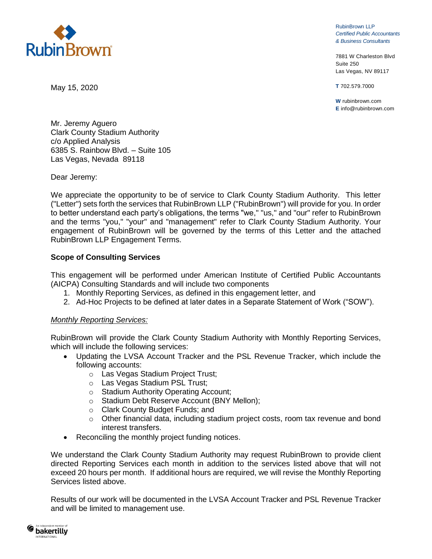

RubinBrown LLP *Certified Public Accountants & Business Consultants*

7881 W Charleston Blvd Suite 250 Las Vegas, NV 89117

**T** 702.579.7000

**W** rubinbrown.com **E** info@rubinbrown.com

May 15, 2020

Mr. Jeremy Aguero Clark County Stadium Authority c/o Applied Analysis 6385 S. Rainbow Blvd. – Suite 105 Las Vegas, Nevada 89118

Dear Jeremy:

We appreciate the opportunity to be of service to Clark County Stadium Authority. This letter ("Letter") sets forth the services that RubinBrown LLP ("RubinBrown") will provide for you. In order to better understand each party's obligations, the terms "we," "us," and "our" refer to RubinBrown and the terms "you," "your" and "management" refer to Clark County Stadium Authority. Your engagement of RubinBrown will be governed by the terms of this Letter and the attached RubinBrown LLP Engagement Terms.

## **Scope of Consulting Services**

This engagement will be performed under American Institute of Certified Public Accountants (AICPA) Consulting Standards and will include two components

- 1. Monthly Reporting Services, as defined in this engagement letter, and
- 2. Ad-Hoc Projects to be defined at later dates in a Separate Statement of Work ("SOW").

#### *Monthly Reporting Services:*

RubinBrown will provide the Clark County Stadium Authority with Monthly Reporting Services, which will include the following services:

- Updating the LVSA Account Tracker and the PSL Revenue Tracker, which include the following accounts:
	- o Las Vegas Stadium Project Trust;
	- o Las Vegas Stadium PSL Trust;
	- o Stadium Authority Operating Account;
	- o Stadium Debt Reserve Account (BNY Mellon);
	- o Clark County Budget Funds; and
	- $\circ$  Other financial data, including stadium project costs, room tax revenue and bond interest transfers.
- Reconciling the monthly project funding notices.

We understand the Clark County Stadium Authority may request RubinBrown to provide client directed Reporting Services each month in addition to the services listed above that will not exceed 20 hours per month. If additional hours are required, we will revise the Monthly Reporting Services listed above.

Results of our work will be documented in the LVSA Account Tracker and PSL Revenue Tracker and will be limited to management use.

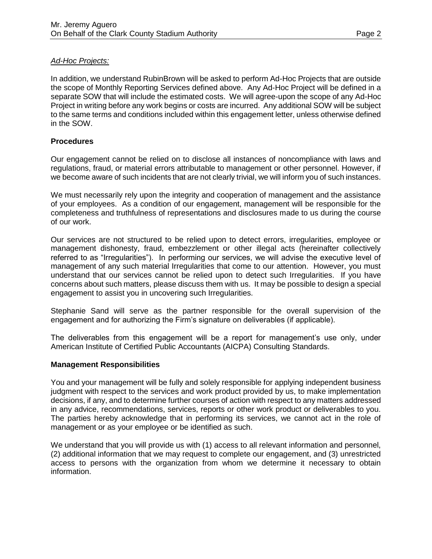# *Ad-Hoc Projects:*

In addition, we understand RubinBrown will be asked to perform Ad-Hoc Projects that are outside the scope of Monthly Reporting Services defined above. Any Ad-Hoc Project will be defined in a separate SOW that will include the estimated costs. We will agree-upon the scope of any Ad-Hoc Project in writing before any work begins or costs are incurred. Any additional SOW will be subject to the same terms and conditions included within this engagement letter, unless otherwise defined in the SOW.

# **Procedures**

Our engagement cannot be relied on to disclose all instances of noncompliance with laws and regulations, fraud, or material errors attributable to management or other personnel. However, if we become aware of such incidents that are not clearly trivial, we will inform you of such instances.

We must necessarily rely upon the integrity and cooperation of management and the assistance of your employees. As a condition of our engagement, management will be responsible for the completeness and truthfulness of representations and disclosures made to us during the course of our work.

Our services are not structured to be relied upon to detect errors, irregularities, employee or management dishonesty, fraud, embezzlement or other illegal acts (hereinafter collectively referred to as "Irregularities"). In performing our services, we will advise the executive level of management of any such material Irregularities that come to our attention. However, you must understand that our services cannot be relied upon to detect such Irregularities. If you have concerns about such matters, please discuss them with us. It may be possible to design a special engagement to assist you in uncovering such Irregularities.

Stephanie Sand will serve as the partner responsible for the overall supervision of the engagement and for authorizing the Firm's signature on deliverables (if applicable).

The deliverables from this engagement will be a report for management's use only, under American Institute of Certified Public Accountants (AICPA) Consulting Standards.

## **Management Responsibilities**

You and your management will be fully and solely responsible for applying independent business judgment with respect to the services and work product provided by us, to make implementation decisions, if any, and to determine further courses of action with respect to any matters addressed in any advice, recommendations, services, reports or other work product or deliverables to you. The parties hereby acknowledge that in performing its services, we cannot act in the role of management or as your employee or be identified as such.

We understand that you will provide us with (1) access to all relevant information and personnel, (2) additional information that we may request to complete our engagement, and (3) unrestricted access to persons with the organization from whom we determine it necessary to obtain information.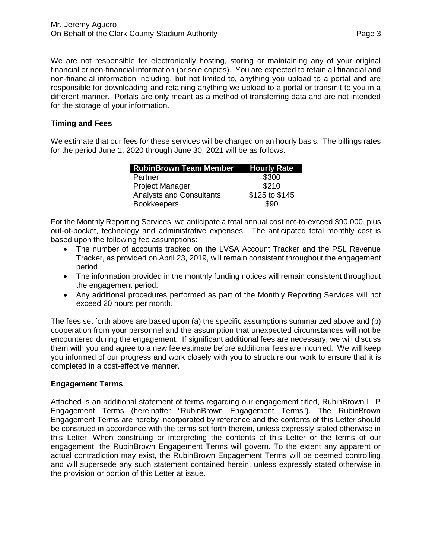We are not responsible for electronically hosting, storing or maintaining any of your original financial or non-financial information (or sole copies). You are expected to retain all financial and non-financial information including, but not limited to, anything you upload to a portal and are responsible for downloading and retaining anything we upload to a portal or transmit to you in a different manner. Portals are only meant as a method of transferring data and are not intended for the storage of your information.

# **Timing and Fees**

We estimate that our fees for these services will be charged on an hourly basis. The billings rates for the period June 1, 2020 through June 30, 2021 will be as follows:

| <b>RubinBrown Team Member Hourly Rate</b> |                |
|-------------------------------------------|----------------|
| Partner                                   | \$300          |
| <b>Project Manager</b>                    | \$210          |
| <b>Analysts and Consultants</b>           | \$125 to \$145 |
| <b>Bookkeepers</b>                        | \$90           |

For the Monthly Reporting Services, we anticipate a total annual cost not-to-exceed \$90,000, plus out-of-pocket, technology and administrative expenses. The anticipated total monthly cost is based upon the following fee assumptions:

- The number of accounts tracked on the LVSA Account Tracker and the PSL Revenue Tracker, as provided on April 23, 2019, will remain consistent throughout the engagement period.
- The information provided in the monthly funding notices will remain consistent throughout the engagement period.
- Any additional procedures performed as part of the Monthly Reporting Services will not exceed 20 hours per month.

The fees set forth above are based upon (a) the specific assumptions summarized above and (b) cooperation from your personnel and the assumption that unexpected circumstances will not be encountered during the engagement. If significant additional fees are necessary, we will discuss them with you and agree to a new fee estimate before additional fees are incurred. We will keep you informed of our progress and work closely with you to structure our work to ensure that it is completed in a cost-effective manner.

# **Engagement Terms**

Attached is an additional statement of terms regarding our engagement titled, RubinBrown LLP Engagement Terms (hereinafter "RubinBrown Engagement Terms"). The RubinBrown Engagement Terms are hereby incorporated by reference and the contents of this Letter should be construed in accordance with the terms set forth therein, unless expressly stated otherwise in this Letter. When construing or interpreting the contents of this Letter or the terms of our engagement, the RubinBrown Engagement Terms will govern. To the extent any apparent or actual contradiction may exist, the RubinBrown Engagement Terms will be deemed controlling and will supersede any such statement contained herein, unless expressly stated otherwise in the provision or portion of this Letter at issue.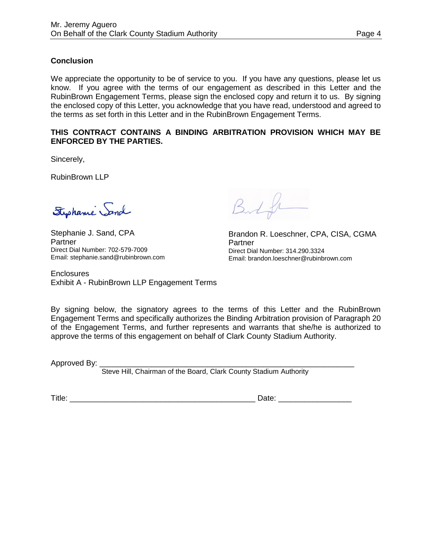# **Conclusion**

We appreciate the opportunity to be of service to you. If you have any questions, please let us know. If you agree with the terms of our engagement as described in this Letter and the RubinBrown Engagement Terms, please sign the enclosed copy and return it to us. By signing the enclosed copy of this Letter, you acknowledge that you have read, understood and agreed to the terms as set forth in this Letter and in the RubinBrown Engagement Terms.

## **THIS CONTRACT CONTAINS A BINDING ARBITRATION PROVISION WHICH MAY BE ENFORCED BY THE PARTIES.**

Sincerely,

RubinBrown LLP

Stephanie Sand

Stephanie J. Sand, CPA Partner Direct Dial Number: 702-579-7009 Email: stephanie.sand@rubinbrown.com

But

Brandon R. Loeschner, CPA, CISA, CGMA Partner Direct Dial Number: 314.290.3324 Email: brandon.loeschner@rubinbrown.com

**Enclosures** Exhibit A - RubinBrown LLP Engagement Terms

By signing below, the signatory agrees to the terms of this Letter and the RubinBrown Engagement Terms and specifically authorizes the Binding Arbitration provision of Paragraph 20 of the Engagement Terms, and further represents and warrants that she/he is authorized to approve the terms of this engagement on behalf of Clark County Stadium Authority.

Approved By: \_

Steve Hill, Chairman of the Board, Clark County Stadium Authority

Title: \_\_\_\_\_\_\_\_\_\_\_\_\_\_\_\_\_\_\_\_\_\_\_\_\_\_\_\_\_\_\_\_\_\_\_\_\_\_\_\_\_\_\_ Date: \_\_\_\_\_\_\_\_\_\_\_\_\_\_\_\_\_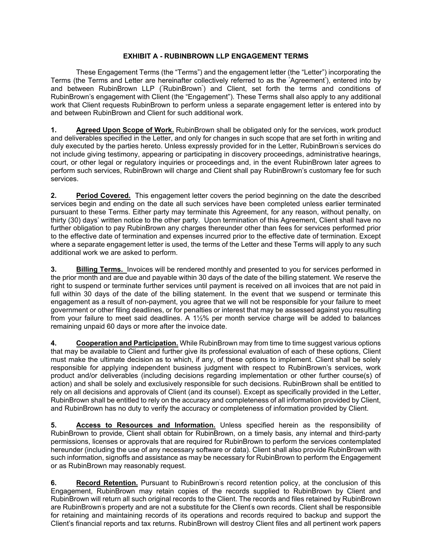These Engagement Terms (the "Terms") and the engagement letter (the "Letter") incorporating the Terms (the Terms and Letter are hereinafter collectively referred to as the " Agreement" ), entered into by and between RubinBrown LLP ("RubinBrown") and Client, set forth the terms and conditions of RubinBrown's engagement with Client (the "Engagement"). These Terms shall also apply to any additional work that Client requests RubinBrown to perform unless a separate engagement letter is entered into by and between RubinBrown and Client for such additional work.

**1. Agreed Upon Scope of Work.** RubinBrown shall be obligated only for the services, work product and deliverables specified in the Letter, and only for changes in such scope that are set forth in writing and duly executed by the parties hereto. Unless expressly provided for in the Letter, RubinBrown' s services do not include giving testimony, appearing or participating in discovery proceedings, administrative hearings, court, or other legal or regulatory inquiries or proceedings and, in the event RubinBrown later agrees to perform such services, RubinBrown will charge and Client shall pay RubinBrown's customary fee for such services.

**2. Period Covered.** This engagement letter covers the period beginning on the date the described services begin and ending on the date all such services have been completed unless earlier terminated pursuant to these Terms. Either party may terminate this Agreement, for any reason, without penalty, on thirty (30) days' written notice to the other party. Upon termination of this Agreement, Client shall have no further obligation to pay RubinBrown any charges thereunder other than fees for services performed prior to the effective date of termination and expenses incurred prior to the effective date of termination. Except where a separate engagement letter is used, the terms of the Letter and these Terms will apply to any such additional work we are asked to perform.

**3. Billing Terms.** Invoices will be rendered monthly and presented to you for services performed in the prior month and are due and payable within 30 days of the date of the billing statement. We reserve the right to suspend or terminate further services until payment is received on all invoices that are not paid in full within 30 days of the date of the billing statement. In the event that we suspend or terminate this engagement as a result of non-payment, you agree that we will not be responsible for your failure to meet government or other filing deadlines, or for penalties or interest that may be assessed against you resulting from your failure to meet said deadlines. A 1½% per month service charge will be added to balances remaining unpaid 60 days or more after the invoice date.

**4. Cooperation and Participation.** While RubinBrown may from time to time suggest various options that may be available to Client and further give its professional evaluation of each of these options, Client must make the ultimate decision as to which, if any, of these options to implement. Client shall be solely responsible for applying independent business judgment with respect to RubinBrown's services, work product and/or deliverables (including decisions regarding implementation or other further course(s) of action) and shall be solely and exclusively responsible for such decisions. RubinBrown shall be entitled to rely on all decisions and approvals of Client (and its counsel). Except as specifically provided in the Letter, RubinBrown shall be entitled to rely on the accuracy and completeness of all information provided by Client, and RubinBrown has no duty to verify the accuracy or completeness of information provided by Client.

**5. Access to Resources and Information.** Unless specified herein as the responsibility of RubinBrown to provide, Client shall obtain for RubinBrown, on a timely basis, any internal and third-party permissions, licenses or approvals that are required for RubinBrown to perform the services contemplated hereunder (including the use of any necessary software or data). Client shall also provide RubinBrown with such information, signoffs and assistance as may be necessary for RubinBrown to perform the Engagement or as RubinBrown may reasonably request.

6. **Record Retention.** Pursuant to RubinBrown's record retention policy, at the conclusion of this Engagement, RubinBrown may retain copies of the records supplied to RubinBrown by Client and RubinBrown will return all such original records to the Client. The records and files retained by RubinBrown are RubinBrown' s property and are not a substitute for the Client' s own records. Client shall be responsible for retaining and maintaining records of its operations and records required to backup and support the Client's financial reports and tax returns. RubinBrown will destroy Client files and all pertinent work papers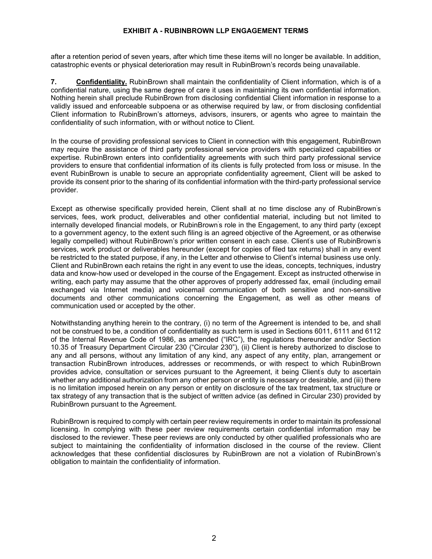after a retention period of seven years, after which time these items will no longer be available. In addition, catastrophic events or physical deterioration may result in RubinBrown's records being unavailable.

**7. Confidentiality.** RubinBrown shall maintain the confidentiality of Client information, which is of a confidential nature, using the same degree of care it uses in maintaining its own confidential information. Nothing herein shall preclude RubinBrown from disclosing confidential Client information in response to a validly issued and enforceable subpoena or as otherwise required by law, or from disclosing confidential Client information to RubinBrown's attorneys, advisors, insurers, or agents who agree to maintain the confidentiality of such information, with or without notice to Client.

In the course of providing professional services to Client in connection with this engagement, RubinBrown may require the assistance of third party professional service providers with specialized capabilities or expertise. RubinBrown enters into confidentiality agreements with such third party professional service providers to ensure that confidential information of its clients is fully protected from loss or misuse. In the event RubinBrown is unable to secure an appropriate confidentiality agreement, Client will be asked to provide its consent prior to the sharing of its confidential information with the third-party professional service provider.

Except as otherwise specifically provided herein, Client shall at no time disclose any of RubinBrown' s services, fees, work product, deliverables and other confidential material, including but not limited to internally developed financial models, or RubinBrown' s role in the Engagement, to any third party (except to a government agency, to the extent such filing is an agreed objective of the Agreement, or as otherwise legally compelled) without RubinBrown's prior written consent in each case. Client' s use of RubinBrown' s services, work product or deliverables hereunder (except for copies of filed tax returns) shall in any event be restricted to the stated purpose, if any, in the Letter and otherwise to Client's internal business use only. Client and RubinBrown each retains the right in any event to use the ideas, concepts, techniques, industry data and know-how used or developed in the course of the Engagement. Except as instructed otherwise in writing, each party may assume that the other approves of properly addressed fax, email (including email exchanged via Internet media) and voicemail communication of both sensitive and non-sensitive documents and other communications concerning the Engagement, as well as other means of communication used or accepted by the other.

Notwithstanding anything herein to the contrary, (i) no term of the Agreement is intended to be, and shall not be construed to be, a condition of confidentiality as such term is used in Sections 6011, 6111 and 6112 of the Internal Revenue Code of 1986, as amended ("IRC"), the regulations thereunder and/or Section 10.35 of Treasury Department Circular 230 ("Circular 230"), (ii) Client is hereby authorized to disclose to any and all persons, without any limitation of any kind, any aspect of any entity, plan, arrangement or transaction RubinBrown introduces, addresses or recommends, or with respect to which RubinBrown provides advice, consultation or services pursuant to the Agreement, it being Client' s duty to ascertain whether any additional authorization from any other person or entity is necessary or desirable, and (iii) there is no limitation imposed herein on any person or entity on disclosure of the tax treatment, tax structure or tax strategy of any transaction that is the subject of written advice (as defined in Circular 230) provided by RubinBrown pursuant to the Agreement.

RubinBrown is required to comply with certain peer review requirements in order to maintain its professional licensing. In complying with these peer review requirements certain confidential information may be disclosed to the reviewer. These peer reviews are only conducted by other qualified professionals who are subject to maintaining the confidentiality of information disclosed in the course of the review. Client acknowledges that these confidential disclosures by RubinBrown are not a violation of RubinBrown's obligation to maintain the confidentiality of information.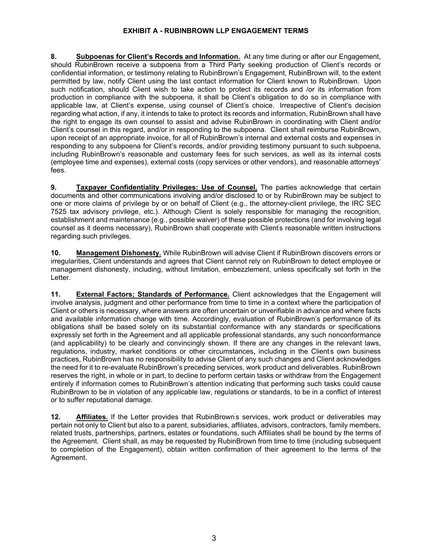8. Subpoenas for Client's Records and Information. At any time during or after our Engagement, should RubinBrown receive a subpoena from a Third Party seeking production of Client's records or confidential information, or testimony relating to RubinBrown's Engagement, RubinBrown will, to the extent permitted by law, notify Client using the last contact information for Client known to RubinBrown. Upon such notification, should Client wish to take action to protect its records and /or its information from production in compliance with the subpoena, it shall be Client's obligation to do so in compliance with applicable law, at Client's expense, using counsel of Client's choice. Irrespective of Client's decision regarding what action, if any, it intends to take to protect its records and information, RubinBrown shall have the right to engage its own counsel to assist and advise RubinBrown in coordinating with Client and/or Client's counsel in this regard, and/or in responding to the subpoena. Client shall reimburse RubinBrown, upon receipt of an appropriate invoice, for all of RubinBrown's internal and external costs and expenses in responding to any subpoena for Client's records, and/or providing testimony pursuant to such subpoena, including RubinBrown's reasonable and customary fees for such services, as well as its internal costs (employee time and expenses), external costs (copy services or other vendors), and reasonable attorneys' fees.

**9. Taxpayer Confidentiality Privileges: Use of Counsel.** The parties acknowledge that certain documents and other communications involving and/or disclosed to or by RubinBrown may be subject to one or more claims of privilege by or on behalf of Client (e.g., the attorney-client privilege, the IRC SEC 7525 tax advisory privilege, etc.). Although Client is solely responsible for managing the recognition, establishment and maintenance (e.g., possible waiver) of these possible protections (and for involving legal counsel as it deems necessary), RubinBrown shall cooperate with Client' s reasonable written instructions regarding such privileges.

**10. Management Dishonesty.** While RubinBrown will advise Client if RubinBrown discovers errors or irregularities, Client understands and agrees that Client cannot rely on RubinBrown to detect employee or management dishonesty, including, without limitation, embezzlement, unless specifically set forth in the Letter.

**11.** External Factors; Standards of Performance. Client acknowledges that the Engagement will involve analysis, judgment and other performance from time to time in a context where the participation of Client or others is necessary, where answers are often uncertain or unverifiable in advance and where facts and available information change with time. Accordingly, evaluation of RubinBrown's performance of its obligations shall be based solely on its substantial conformance with any standards or specifications expressly set forth in the Agreement and all applicable professional standards, any such nonconformance (and applicability) to be clearly and convincingly shown. If there are any changes in the relevant laws, regulations, industry, market conditions or other circumstances, including in the Client's own business practices, RubinBrown has no responsibility to advise Client of any such changes and Client acknowledges the need for it to re-evaluate RubinBrown's preceding services, work product and deliverables. RubinBrown reserves the right, in whole or in part, to decline to perform certain tasks or withdraw from the Engagement entirely if information comes to RubinBrown's attention indicating that performing such tasks could cause RubinBrown to be in violation of any applicable law, regulations or standards, to be in a conflict of interest or to suffer reputational damage.

12. **Affiliates.** If the Letter provides that RubinBrown's services, work product or deliverables may pertain not only to Client but also to a parent, subsidiaries, affiliates, advisors, contractors, family members, related trusts, partnerships, partners, estates or foundations, such Affiliates shall be bound by the terms of the Agreement. Client shall, as may be requested by RubinBrown from time to time (including subsequent to completion of the Engagement), obtain written confirmation of their agreement to the terms of the Agreement.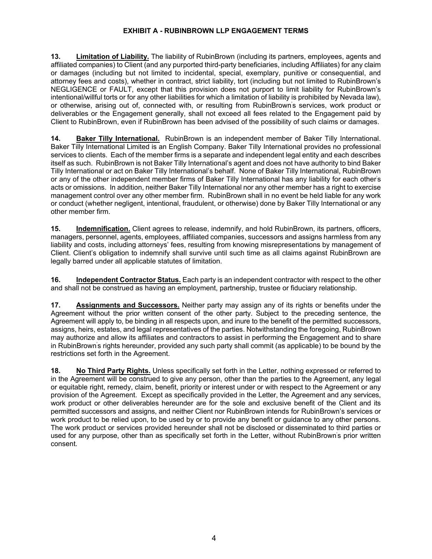**13. Limitation of Liability.** The liability of RubinBrown (including its partners, employees, agents and affiliated companies) to Client (and any purported third-party beneficiaries, including Affiliates) for any claim or damages (including but not limited to incidental, special, exemplary, punitive or consequential, and attorney fees and costs), whether in contract, strict liability, tort (including but not limited to RubinBrown's NEGLIGENCE or FAULT, except that this provision does not purport to limit liability for RubinBrown's intentional/willful torts or for any other liabilities for which a limitation of liability is prohibited by Nevada law), or otherwise, arising out of, connected with, or resulting from RubinBrown' s services, work product or deliverables or the Engagement generally, shall not exceed all fees related to the Engagement paid by Client to RubinBrown, even if RubinBrown has been advised of the possibility of such claims or damages.

**14. Baker Tilly International.** RubinBrown is an independent member of Baker Tilly International. Baker Tilly International Limited is an English Company. Baker Tilly International provides no professional services to clients. Each of the member firms is a separate and independent legal entity and each describes itself as such. RubinBrown is not Baker Tilly International's agent and does not have authority to bind Baker Tilly International or act on Baker Tilly International's behalf. None of Baker Tilly International, RubinBrown or any of the other independent member firms of Baker Tilly International has any liability for each other' s acts or omissions. In addition, neither Baker Tilly International nor any other member has a right to exercise management control over any other member firm. RubinBrown shall in no event be held liable for any work or conduct (whether negligent, intentional, fraudulent, or otherwise) done by Baker Tilly International or any other member firm.

**15. Indemnification.** Client agrees to release, indemnify, and hold RubinBrown, its partners, officers, managers, personnel, agents, employees, affiliated companies, successors and assigns harmless from any liability and costs, including attorneys' fees, resulting from knowing misrepresentations by management of Client. Client's obligation to indemnify shall survive until such time as all claims against RubinBrown are legally barred under all applicable statutes of limitation.

**16. Independent Contractor Status.** Each party is an independent contractor with respect to the other and shall not be construed as having an employment, partnership, trustee or fiduciary relationship.

**17. Assignments and Successors.** Neither party may assign any of its rights or benefits under the Agreement without the prior written consent of the other party. Subject to the preceding sentence, the Agreement will apply to, be binding in all respects upon, and inure to the benefit of the permitted successors, assigns, heirs, estates, and legal representatives of the parties. Notwithstanding the foregoing, RubinBrown may authorize and allow its affiliates and contractors to assist in performing the Engagement and to share in RubinBrown' s rights hereunder, provided any such party shall commit (as applicable) to be bound by the restrictions set forth in the Agreement.

**18. No Third Party Rights.** Unless specifically set forth in the Letter, nothing expressed or referred to in the Agreement will be construed to give any person, other than the parties to the Agreement, any legal or equitable right, remedy, claim, benefit, priority or interest under or with respect to the Agreement or any provision of the Agreement. Except as specifically provided in the Letter, the Agreement and any services, work product or other deliverables hereunder are for the sole and exclusive benefit of the Client and its permitted successors and assigns, and neither Client nor RubinBrown intends for RubinBrown's services or work product to be relied upon, to be used by or to provide any benefit or guidance to any other persons. The work product or services provided hereunder shall not be disclosed or disseminated to third parties or used for any purpose, other than as specifically set forth in the Letter, without RubinBrown' s prior written consent.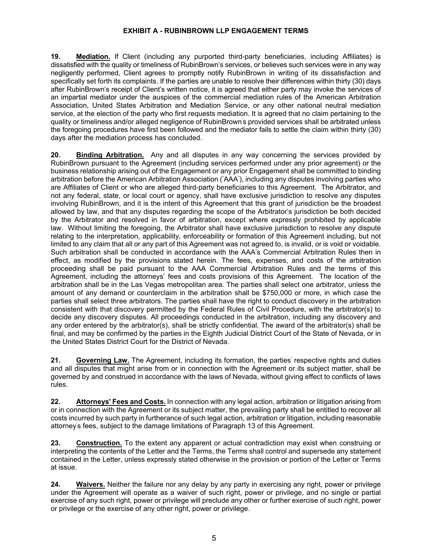**19. Mediation.** If Client (including any purported third-party beneficiaries, including Affiliates) is dissatisfied with the quality or timeliness of RubinBrown's services, or believes such services were in any way negligently performed, Client agrees to promptly notify RubinBrown in writing of its dissatisfaction and specifically set forth its complaints. If the parties are unable to resolve their differences within thirty (30) days after RubinBrown's receipt of Client's written notice, it is agreed that either party may invoke the services of an impartial mediator under the auspices of the commercial mediation rules of the American Arbitration Association, United States Arbitration and Mediation Service, or any other national neutral mediation service, at the election of the party who first requests mediation. It is agreed that no claim pertaining to the quality or timeliness and/or alleged negligence of RubinBrown' s provided services shall be arbitrated unless the foregoing procedures have first been followed and the mediator fails to settle the claim within thirty (30) days after the mediation process has concluded.

**20. Binding Arbitration.** Any and all disputes in any way concerning the services provided by RubinBrown pursuant to the Agreement (including services performed under any prior agreement) or the business relationship arising out of the Engagement or any prior Engagement shall be committed to binding arbitration before the American Arbitration Association (" AAA" ), including any disputes involving parties who are Affiliates of Client or who are alleged third-party beneficiaries to this Agreement.The Arbitrator, and not any federal, state, or local court or agency, shall have exclusive jurisdiction to resolve any disputes involving RubinBrown, and it is the intent of this Agreement that this grant of jurisdiction be the broadest allowed by law, and that any disputes regarding the scope of the Arbitrator's jurisdiction be both decided by the Arbitrator and resolved in favor of arbitration, except where expressly prohibited by applicable law. Without limiting the foregoing, the Arbitrator shall have exclusive jurisdiction to resolve any dispute relating to the interpretation, applicability, enforceability or formation of this Agreement including, but not limited to any claim that all or any part of this Agreement was not agreed to, is invalid, or is void or voidable. Such arbitration shall be conducted in accordance with the AAA's Commercial Arbitration Rules then in effect, as modified by the provisions stated herein. The fees, expenses, and costs of the arbitration proceeding shall be paid pursuant to the AAA Commercial Arbitration Rules and the terms of this Agreement, including the attorneys' fees and costs provisions of this Agreement. The location of the arbitration shall be in the Las Vegas metropolitan area. The parties shall select one arbitrator, unless the amount of any demand or counterclaim in the arbitration shall be \$750,000 or more, in which case the parties shall select three arbitrators. The parties shall have the right to conduct discovery in the arbitration consistent with that discovery permitted by the Federal Rules of Civil Procedure, with the arbitrator(s) to decide any discovery disputes. All proceedings conducted in the arbitration, including any discovery and any order entered by the arbitrator(s), shall be strictly confidential. The award of the arbitrator(s) shall be final, and may be confirmed by the parties in the Eighth Judicial District Court of the State of Nevada, or in the United States District Court for the District of Nevada.

21. Governing Law. The Agreement, including its formation, the parties' respective rights and duties and all disputes that might arise from or in connection with the Agreement or its subject matter, shall be governed by and construed in accordance with the laws of Nevada, without giving effect to conflicts of laws rules.

**22. Attorneys' Fees and Costs.** In connection with any legal action, arbitration or litigation arising from or in connection with the Agreement or its subject matter, the prevailing party shall be entitled to recover all costs incurred by such party in furtherance of such legal action, arbitration or litigation, including reasonable attorney' s fees, subject to the damage limitations of Paragraph 13 of this Agreement.

**23. Construction.** To the extent any apparent or actual contradiction may exist when construing or interpreting the contents of the Letter and the Terms, the Terms shall control and supersede any statement contained in the Letter, unless expressly stated otherwise in the provision or portion of the Letter or Terms at issue.

**24. Waivers.** Neither the failure nor any delay by any party in exercising any right, power or privilege under the Agreement will operate as a waiver of such right, power or privilege, and no single or partial exercise of any such right, power or privilege will preclude any other or further exercise of such right, power or privilege or the exercise of any other right, power or privilege.